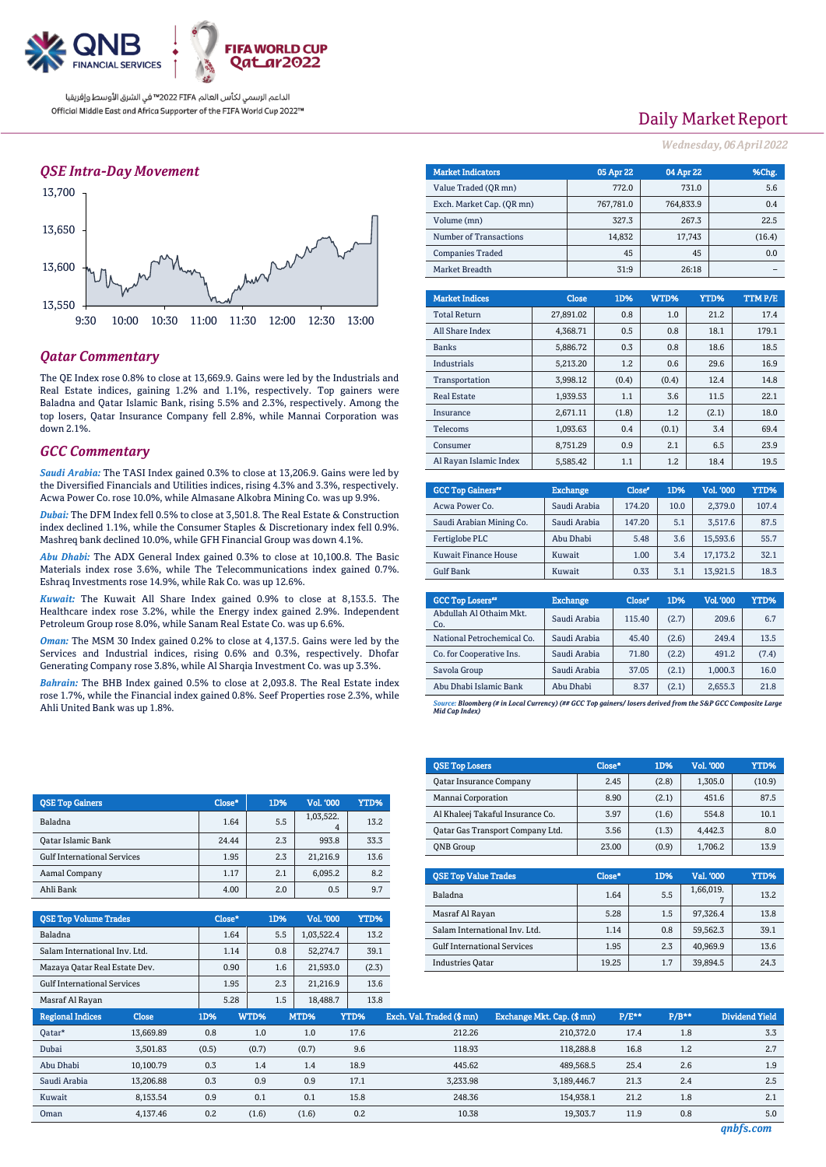

### *QSE Intra-Day Movement*



### *Qatar Commentary*

The QE Index rose 0.8% to close at 13,669.9. Gains were led by the Industrials and Real Estate indices, gaining 1.2% and 1.1%, respectively. Top gainers were Baladna and Qatar Islamic Bank, rising 5.5% and 2.3%, respectively. Among the top losers, Qatar Insurance Company fell 2.8%, while Mannai Corporation was down 2.1%.

### *GCC Commentary*

*Saudi Arabia:* The TASI Index gained 0.3% to close at 13,206.9. Gains were led by the Diversified Financials and Utilities indices, rising 4.3% and 3.3%, respectively. Acwa Power Co. rose 10.0%, while Almasane Alkobra Mining Co. was up 9.9%.

*Dubai:* The DFM Index fell 0.5% to close at 3,501.8. The Real Estate & Construction index declined 1.1%, while the Consumer Staples & Discretionary index fell 0.9%. Mashreq bank declined 10.0%, while GFH Financial Group was down 4.1%.

*Abu Dhabi:* The ADX General Index gained 0.3% to close at 10,100.8. The Basic Materials index rose 3.6%, while The Telecommunications index gained 0.7%. Eshraq Investments rose 14.9%, while Rak Co. was up 12.6%.

*Kuwait:* The Kuwait All Share Index gained 0.9% to close at 8,153.5. The Healthcare index rose 3.2%, while the Energy index gained 2.9%. Independent Petroleum Group rose 8.0%, while Sanam Real Estate Co. was up 6.6%.

*Oman:* The MSM 30 Index gained 0.2% to close at 4,137.5. Gains were led by the Services and Industrial indices, rising 0.6% and 0.3%, respectively. Dhofar Generating Company rose 3.8%, while Al Sharqia Investment Co. was up 3.3%.

*Bahrain:* The BHB Index gained 0.5% to close at 2,093.8. The Real Estate index rose 1.7%, while the Financial index gained 0.8%. Seef Properties rose 2.3%, while Ahli United Bank was up 1.8%.

| <b>OSE Top Gainers</b>             | Close* | 1D% | Vol. '000      | YTD% |
|------------------------------------|--------|-----|----------------|------|
| Baladna                            | 1.64   | 5.5 | 1,03,522.<br>4 | 13.2 |
| Qatar Islamic Bank                 | 24.44  | 2.3 | 993.8          | 33.3 |
| <b>Gulf International Services</b> | 1.95   | 2.3 | 21,216.9       | 13.6 |
| Aamal Company                      | 1.17   | 2.1 | 6,095.2        | 8.2  |
| Ahli Bank                          | 4.00   | 2.0 | 0.5            | 9.7  |

| <b>OSE Top Volume Trades</b>       | Close* | 1D% | Vol. '000  | YTD%  |
|------------------------------------|--------|-----|------------|-------|
| Baladna                            | 1.64   | 5.5 | 1.03.522.4 | 13.2  |
| Salam International Inv. Ltd.      | 1.14   | 0.8 | 52.274.7   | 39.1  |
| Mazaya Qatar Real Estate Dev.      | 0.90   | 1.6 | 21.593.0   | (2.3) |
| <b>Gulf International Services</b> | 1.95   | 2.3 | 21.216.9   | 13.6  |
|                                    |        |     |            |       |

### Daily Market Report

*Wednesday, 06April 2022*

| <b>Market Indicators</b>  | 05 Apr 22 | 04 Apr 22 | %Chg.  |
|---------------------------|-----------|-----------|--------|
| Value Traded (OR mn)      | 772.0     | 731.0     | 5.6    |
| Exch. Market Cap. (QR mn) | 767,781.0 | 764.833.9 | 0.4    |
| Volume (mn)               | 327.3     | 267.3     | 22.5   |
| Number of Transactions    | 14,832    | 17,743    | (16.4) |
| <b>Companies Traded</b>   | 45        | 45        | 0.0    |
| Market Breadth            | 31:9      | 26:18     |        |

| <b>Market Indices</b>  | <b>Close</b> | 1D%   | WTD%  | YTD%  | TTM P/E |
|------------------------|--------------|-------|-------|-------|---------|
| <b>Total Return</b>    | 27,891.02    | 0.8   | 1.0   | 21.2  | 17.4    |
| All Share Index        | 4.368.71     | 0.5   | 0.8   | 18.1  | 179.1   |
| <b>Banks</b>           | 5,886.72     | 0.3   | 0.8   | 18.6  | 18.5    |
| Industrials            | 5.213.20     | 1.2   | 0.6   | 29.6  | 16.9    |
| Transportation         | 3,998.12     | (0.4) | (0.4) | 12.4  | 14.8    |
| <b>Real Estate</b>     | 1.939.53     | 1.1   | 3.6   | 11.5  | 22.1    |
| Insurance              | 2.671.11     | (1.8) | 1.2   | (2.1) | 18.0    |
| <b>Telecoms</b>        | 1.093.63     | 0.4   | (0.1) | 3.4   | 69.4    |
| Consumer               | 8.751.29     | 0.9   | 2.1   | 6.5   | 23.9    |
| Al Ravan Islamic Index | 5.585.42     | 1.1   | 1.2   | 18.4  | 19.5    |

| <b>GCC Top Gainers</b> <sup>#</sup> | <b>Exchange</b> | Close <sup>®</sup> | 1D%  | Vol. '000 | YTD%  |
|-------------------------------------|-----------------|--------------------|------|-----------|-------|
| Acwa Power Co.                      | Saudi Arabia    | 174.20             | 10.0 | 2.379.0   | 107.4 |
| Saudi Arabian Mining Co.            | Saudi Arabia    | 147.20             | 5.1  | 3.517.6   | 87.5  |
| Fertiglobe PLC                      | Abu Dhabi       | 5.48               | 3.6  | 15.593.6  | 55.7  |
| Kuwait Finance House                | Kuwait          | 1.00               | 3.4  | 17.173.2  | 32.1  |
| <b>Gulf Bank</b>                    | Kuwait          | 0.33               | 3.1  | 13,921.5  | 18.3  |

| <b>GCC Top Losers</b> <sup>82</sup> | <b>Exchange</b> | Close <sup>®</sup> | 1D%   | Vol.'000 | YTD%  |
|-------------------------------------|-----------------|--------------------|-------|----------|-------|
| Abdullah Al Othaim Mkt.<br>Co.      | Saudi Arabia    | 115.40             | (2.7) | 209.6    | 6.7   |
| National Petrochemical Co.          | Saudi Arabia    | 45.40              | (2.6) | 249.4    | 13.5  |
| Co. for Cooperative Ins.            | Saudi Arabia    | 71.80              | (2.2) | 491.2    | (7.4) |
| Savola Group                        | Saudi Arabia    | 37.05              | (2.1) | 1.000.3  | 16.0  |
| Abu Dhabi Islamic Bank              | Abu Dhabi       | 8.37               | (2.1) | 2,655.3  | 21.8  |

*Source: Bloomberg (# in Local Currency) (## GCC Top gainers/ losers derived from the S&P GCC Composite Large Mid Cap Index)*

| <b>OSE Top Losers</b>            | Close* | 1D%   | Vol. '000 | YTD%   |
|----------------------------------|--------|-------|-----------|--------|
| <b>Qatar Insurance Company</b>   | 2.45   | (2.8) | 1.305.0   | (10.9) |
| Mannai Corporation               | 8.90   | (2.1) | 451.6     | 87.5   |
| Al Khaleej Takaful Insurance Co. | 3.97   | (1.6) | 554.8     | 10.1   |
| Oatar Gas Transport Company Ltd. | 3.56   | (1.3) | 4.442.3   | 8.0    |
| <b>ONB</b> Group                 | 23.00  | (0.9) | 1.706.2   | 13.9   |

| <b>OSE Top Value Trades</b>        | Close* | 1D% | Val. '000      | YTD% |
|------------------------------------|--------|-----|----------------|------|
| Baladna                            | 1.64   | 5.5 | 1,66,019.<br>7 | 13.2 |
| Masraf Al Rayan                    | 5.28   | 1.5 | 97.326.4       | 13.8 |
| Salam International Inv. Ltd.      | 1.14   | 0.8 | 59.562.3       | 39.1 |
| <b>Gulf International Services</b> | 1.95   | 2.3 | 40.969.9       | 13.6 |
| <b>Industries Qatar</b>            | 19.25  | 1.7 | 39.894.5       | 24.3 |

| Masraf Al Rayan         |              |       | 5.28  | 18,488.7<br>1.5 |      | 13.8                      |                            |          |         |                |
|-------------------------|--------------|-------|-------|-----------------|------|---------------------------|----------------------------|----------|---------|----------------|
| <b>Regional Indices</b> | <b>Close</b> | 1D%   | WTD%  | MTD%            | YTD% | Exch. Val. Traded (\$ mn) | Exchange Mkt. Cap. (\$ mn) | $P/E***$ | $P/B**$ | Dividend Yield |
| Qatar*                  | 13.669.89    | 0.8   | 1.0   | 1.0             | 17.6 | 212.26                    | 210,372.0                  | 17.4     | 1.8     | 3.3            |
| Dubai                   | 3,501.83     | (0.5) | (0.7) | (0.7)           | 9.6  | 118.93                    | 118,288.8                  | 16.8     | 1.2     | 2.7            |
| Abu Dhabi               | 10.100.79    | 0.3   | 1.4   | 1.4             | 18.9 | 445.62                    | 489.568.5                  | 25.4     | 2.6     | 1.9            |
| Saudi Arabia            | 13.206.88    | 0.3   | 0.9   | 0.9             | 17.1 | 3.233.98                  | 3.189.446.7                | 21.3     | 2.4     | 2.5            |
| Kuwait                  | 8,153.54     | 0.9   | 0.1   | 0.1             | 15.8 | 248.36                    | 154,938.1                  | 21.2     | 1.8     | 2.1            |
| Oman                    | 4,137.46     | 0.2   | (1.6) | (1.6)           | 0.2  | 10.38                     | 19.303.7                   | 11.9     | 0.8     | 5.0            |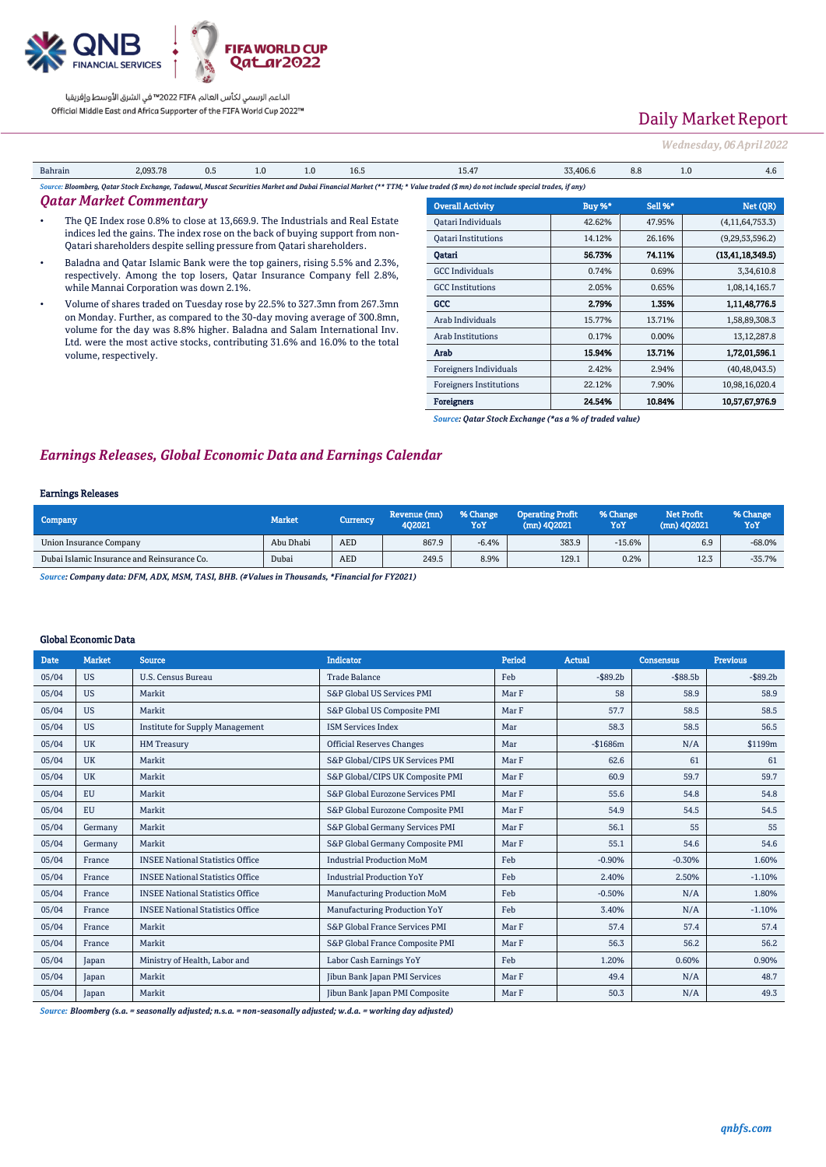

## Daily Market Report

#### *Wednesday, 06April 2022*

| Bahrain                        | 2.093.78                                                                                                                                                | 0.5 | 1.0 | 1.0 | 16.5                    | 15.47                                                                                                                                                                        | 33.406.6 | 8.8      | 1.0<br>4.6         |
|--------------------------------|---------------------------------------------------------------------------------------------------------------------------------------------------------|-----|-----|-----|-------------------------|------------------------------------------------------------------------------------------------------------------------------------------------------------------------------|----------|----------|--------------------|
|                                |                                                                                                                                                         |     |     |     |                         | Source: Bloomberg, Oatar Stock Exchange, Tadawul, Muscat Securities Market and Dubai Financial Market (** TTM; * Value traded (\$ mn) do not include special trades, if any) |          |          |                    |
| <b>Qatar Market Commentary</b> |                                                                                                                                                         |     |     |     | <b>Overall Activity</b> | Buy $%^*$                                                                                                                                                                    | Sell %*  | Net (QR) |                    |
|                                | The QE Index rose 0.8% to close at 13,669.9. The Industrials and Real Estate                                                                            |     |     |     |                         | Qatari Individuals                                                                                                                                                           | 42.62%   | 47.95%   | (4, 11, 64, 753.3) |
|                                | indices led the gains. The index rose on the back of buying support from non-<br>Qatari shareholders despite selling pressure from Qatari shareholders. |     |     |     |                         |                                                                                                                                                                              | 14.12%   | 26.16%   | (9,29,53,596.2)    |
|                                |                                                                                                                                                         |     |     |     |                         |                                                                                                                                                                              |          |          |                    |

- Baladna and Qatar Islamic Bank were the top gainers, rising 5.5% and 2.3%, respectively. Among the top losers, Qatar Insurance Company fell 2.8%, while Mannai Corporation was down 2.1%.
- Volume of shares traded on Tuesday rose by 22.5% to 327.3mn from 267.3mn on Monday. Further, as compared to the 30-day moving average of 300.8mn, volume for the day was 8.8% higher. Baladna and Salam International Inv. Ltd. were the most active stocks, contributing 31.6% and 16.0% to the total volume, respectively.

| <b>Overall Activity</b>        | <b>Buy %*</b> | Sell %*  | Net (QR)            |
|--------------------------------|---------------|----------|---------------------|
| Oatari Individuals             | 42.62%        | 47.95%   | (4, 11, 64, 753.3)  |
| <b>Oatari Institutions</b>     | 14.12%        | 26.16%   | (9,29,53,596.2)     |
| Qatari                         | 56.73%        | 74.11%   | (13, 41, 18, 349.5) |
| <b>GCC Individuals</b>         | 0.74%         | 0.69%    | 3,34,610.8          |
| <b>GCC</b> Institutions        | 2.05%         | 0.65%    | 1,08,14,165.7       |
| GCC                            | 2.79%         | 1.35%    | 1,11,48,776.5       |
| Arab Individuals               | 15.77%        | 13.71%   | 1,58,89,308.3       |
| <b>Arab Institutions</b>       | 0.17%         | $0.00\%$ | 13, 12, 287.8       |
| Arab                           | 15.94%        | 13.71%   | 1,72,01,596.1       |
| Foreigners Individuals         | 2.42%         | 2.94%    | (40, 48, 043.5)     |
| <b>Foreigners Institutions</b> | 22.12%        | 7.90%    | 10,98,16,020.4      |
| Foreigners                     | 24.54%        | 10.84%   | 10,57,67,976.9      |

*Source: Qatar Stock Exchange (\*as a % of traded value)*

### *Earnings Releases, Global Economic Data and Earnings Calendar*

#### Earnings Releases

| <b>Company</b>                              | <b>Market</b> | Currency   | Revenue (mn)<br>402021 | % Change<br>YoY | <b>Operating Profit</b><br>$(mn)$ 402021 | % Change<br>YoY | <b>Net Profit</b><br>$(mn)$ 402021 | % Change<br>YoY |
|---------------------------------------------|---------------|------------|------------------------|-----------------|------------------------------------------|-----------------|------------------------------------|-----------------|
| Union Insurance Company                     | Abu Dhabi     | <b>AED</b> | 867.9                  | $-6.4%$         | 383.9                                    | $-15.6%$        | 6.9                                | $-68.0%$        |
| Dubai Islamic Insurance and Reinsurance Co. | Dubai         | <b>AED</b> | 249.5                  | 8.9%            | 129.1                                    | 0.2%            | 12.3                               | $-35.7%$        |

*Source: Company data: DFM, ADX, MSM, TASI, BHB. (#Values in Thousands, \*Financial for FY2021)*

#### Global Economic Data

| <b>Date</b> | <b>Market</b> | <b>Source</b>                           | <b>Indicator</b>                          | Period      | <b>Actual</b> | <b>Consensus</b> | <b>Previous</b> |
|-------------|---------------|-----------------------------------------|-------------------------------------------|-------------|---------------|------------------|-----------------|
| 05/04       | <b>US</b>     | U.S. Census Bureau                      | <b>Trade Balance</b>                      | Feb         | $-$ \$89.2b   | $-$ \$88.5b      | $-$ \$89.2b     |
| 05/04       | <b>US</b>     | Markit                                  | <b>S&amp;P Global US Services PMI</b>     | 58<br>Mar F |               | 58.9             | 58.9            |
| 05/04       | <b>US</b>     | Markit                                  | S&P Global US Composite PMI               | Mar F       | 57.7          | 58.5             | 58.5            |
| 05/04       | <b>US</b>     | <b>Institute for Supply Management</b>  | <b>ISM Services Index</b>                 | Mar         | 58.3          | 58.5             | 56.5            |
| 05/04       | <b>UK</b>     | <b>HM</b> Treasury                      | <b>Official Reserves Changes</b>          | Mar         | $-$1686m$     | N/A              | \$1199m         |
| 05/04       | <b>UK</b>     | Markit                                  | S&P Global/CIPS UK Services PMI           | Mar F       | 62.6          | 61               | 61              |
| 05/04       | <b>UK</b>     | Markit                                  | S&P Global/CIPS UK Composite PMI          | Mar F       | 60.9          | 59.7             | 59.7            |
| 05/04       | <b>EU</b>     | Markit                                  | S&P Global Eurozone Services PMI          | Mar F       | 55.6          | 54.8             | 54.8            |
| 05/04       | <b>EU</b>     | Markit                                  | S&P Global Eurozone Composite PMI         | Mar F       | 54.9          | 54.5             | 54.5            |
| 05/04       | Germany       | Markit                                  | S&P Global Germany Services PMI           | Mar F       | 56.1          | 55               | 55              |
| 05/04       | Germany       | Markit                                  | S&P Global Germany Composite PMI          | Mar F       | 55.1          | 54.6             | 54.6            |
| 05/04       | France        | <b>INSEE National Statistics Office</b> | <b>Industrial Production MoM</b>          | Feb         | $-0.90%$      | $-0.30%$         | 1.60%           |
| 05/04       | France        | <b>INSEE National Statistics Office</b> | <b>Industrial Production YoY</b>          | Feb         | 2.40%         | 2.50%            | $-1.10%$        |
| 05/04       | France        | <b>INSEE National Statistics Office</b> | Manufacturing Production MoM              | Feb         | $-0.50%$      | N/A              | 1.80%           |
| 05/04       | France        | <b>INSEE National Statistics Office</b> | Manufacturing Production YoY              | Feb         | 3.40%         | N/A              | $-1.10%$        |
| 05/04       | France        | Markit                                  | <b>S&amp;P Global France Services PMI</b> | Mar F       | 57.4          | 57.4             | 57.4            |
| 05/04       | France        | Markit                                  | S&P Global France Composite PMI           | Mar F       | 56.3          | 56.2             | 56.2            |
| 05/04       | Japan         | Ministry of Health, Labor and           | Labor Cash Earnings YoY                   | Feb         | 1.20%         | 0.60%            | 0.90%           |
| 05/04       | Japan         | Markit                                  | Jibun Bank Japan PMI Services             | Mar F       | 49.4          | N/A              | 48.7            |
| 05/04       | Japan         | Markit                                  | Jibun Bank Japan PMI Composite            | Mar F       | 50.3          | N/A              | 49.3            |

*Source: Bloomberg (s.a. = seasonally adjusted; n.s.a. = non-seasonally adjusted; w.d.a. = working day adjusted)*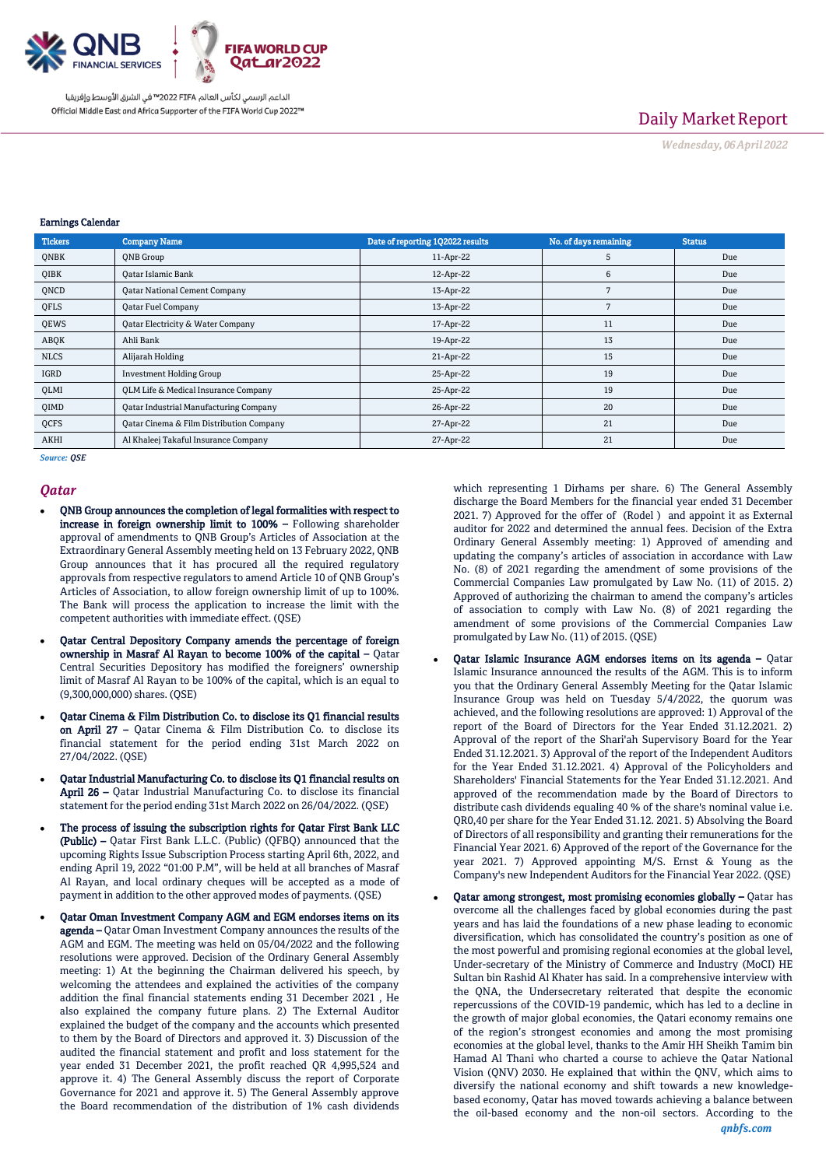

### Daily Market Report

*Wednesday, 06April 2022*

#### Earnings Calendar

| <b>Tickers</b> | <b>Company Name</b>                             | Date of reporting 1Q2022 results | No. of days remaining | <b>Status</b> |
|----------------|-------------------------------------------------|----------------------------------|-----------------------|---------------|
| <b>ONBK</b>    | <b>ONB</b> Group                                | 11-Apr-22                        | b.                    | Due           |
| QIBK           | Qatar Islamic Bank                              | 12-Apr-22                        | 6                     | Due           |
| ONCD           | <b>Qatar National Cement Company</b>            | 13-Apr-22                        |                       | Due           |
| QFLS           | <b>Qatar Fuel Company</b>                       | 13-Apr-22                        |                       | Due           |
| <b>OEWS</b>    | Qatar Electricity & Water Company               | 17-Apr-22                        | 11                    | Due           |
| ABQK           | Ahli Bank                                       | 19-Apr-22                        | 13                    | Due           |
| <b>NLCS</b>    | Alijarah Holding                                | 21-Apr-22                        | 15                    | Due           |
| IGRD           | <b>Investment Holding Group</b>                 | 25-Apr-22                        | 19                    | Due           |
| <b>OLMI</b>    | <b>QLM Life &amp; Medical Insurance Company</b> | 25-Apr-22                        | 19                    | Due           |
| <b>QIMD</b>    | Qatar Industrial Manufacturing Company          | 26-Apr-22                        | 20                    | Due           |
| QCFS           | Qatar Cinema & Film Distribution Company        | 27-Apr-22                        | 21                    | Due           |
| <b>AKHI</b>    | Al Khaleej Takaful Insurance Company            | 27-Apr-22                        | 21                    | Due           |

*Source: QSE*

#### *Qatar*

- QNB Group announces the completion of legal formalities with respect to increase in foreign ownership limit to 100% – Following shareholder approval of amendments to QNB Group's Articles of Association at the Extraordinary General Assembly meeting held on 13 February 2022, QNB Group announces that it has procured all the required regulatory approvals from respective regulators to amend Article 10 of QNB Group's Articles of Association, to allow foreign ownership limit of up to 100%. The Bank will process the application to increase the limit with the competent authorities with immediate effect. (QSE)
- Qatar Central Depository Company amends the percentage of foreign ownership in Masraf Al Rayan to become 100% of the capital – Qatar Central Securities Depository has modified the foreigners' ownership limit of Masraf Al Rayan to be 100% of the capital, which is an equal to (9,300,000,000) shares. (QSE)
- Qatar Cinema & Film Distribution Co. to disclose its Q1 financial results on April 27 – Qatar Cinema & Film Distribution Co. to disclose its financial statement for the period ending 31st March 2022 on 27/04/2022. (QSE)
- Qatar Industrial Manufacturing Co. to disclose its Q1 financial results on April 26 – Qatar Industrial Manufacturing Co. to disclose its financial statement for the period ending 31st March 2022 on 26/04/2022. (QSE)
- The process of issuing the subscription rights for Qatar First Bank LLC (Public) – Qatar First Bank L.L.C. (Public) (QFBQ) announced that the upcoming Rights Issue Subscription Process starting April 6th, 2022, and ending April 19, 2022 "01:00 P.M", will be held at all branches of Masraf Al Rayan, and local ordinary cheques will be accepted as a mode of payment in addition to the other approved modes of payments. (QSE)
- Qatar Oman Investment Company AGM and EGM endorses items on its agenda – Qatar Oman Investment Company announces the results of the AGM and EGM. The meeting was held on 05/04/2022 and the following resolutions were approved. Decision of the Ordinary General Assembly meeting: 1) At the beginning the Chairman delivered his speech, by welcoming the attendees and explained the activities of the company addition the final financial statements ending 31 December 2021 , He also explained the company future plans. 2) The External Auditor explained the budget of the company and the accounts which presented to them by the Board of Directors and approved it. 3) Discussion of the audited the financial statement and profit and loss statement for the year ended 31 December 2021, the profit reached QR 4,995,524 and approve it. 4) The General Assembly discuss the report of Corporate Governance for 2021 and approve it. 5) The General Assembly approve the Board recommendation of the distribution of 1% cash dividends

which representing 1 Dirhams per share. 6) The General Assembly discharge the Board Members for the financial year ended 31 December 2021. 7) Approved for the offer of (Rodel ) and appoint it as External auditor for 2022 and determined the annual fees. Decision of the Extra Ordinary General Assembly meeting: 1) Approved of amending and updating the company's articles of association in accordance with Law No. (8) of 2021 regarding the amendment of some provisions of the Commercial Companies Law promulgated by Law No. (11) of 2015. 2) Approved of authorizing the chairman to amend the company's articles of association to comply with Law No. (8) of 2021 regarding the amendment of some provisions of the Commercial Companies Law promulgated by Law No. (11) of 2015. (QSE)

- Qatar Islamic Insurance AGM endorses items on its agenda Qatar Islamic Insurance announced the results of the AGM. This is to inform you that the Ordinary General Assembly Meeting for the Qatar Islamic Insurance Group was held on Tuesday 5/4/2022, the quorum was achieved, and the following resolutions are approved: 1) Approval of the report of the Board of Directors for the Year Ended 31.12.2021. 2) Approval of the report of the Shari'ah Supervisory Board for the Year Ended 31.12.2021. 3) Approval of the report of the Independent Auditors for the Year Ended 31.12.2021. 4) Approval of the Policyholders and Shareholders' Financial Statements for the Year Ended 31.12.2021. And approved of the recommendation made by the Board of Directors to distribute cash dividends equaling 40 % of the share's nominal value i.e. QR0,40 per share for the Year Ended 31.12. 2021. 5) Absolving the Board of Directors of all responsibility and granting their remunerations for the Financial Year 2021. 6) Approved of the report of the Governance for the year 2021. 7) Approved appointing M/S. Ernst & Young as the Company's new Independent Auditors for the Financial Year 2022. (QSE)
- Qatar among strongest, most promising economies globally Qatar has overcome all the challenges faced by global economies during the past years and has laid the foundations of a new phase leading to economic diversification, which has consolidated the country's position as one of the most powerful and promising regional economies at the global level, Under-secretary of the Ministry of Commerce and Industry (MoCI) HE Sultan bin Rashid Al Khater has said. In a comprehensive interview with the QNA, the Undersecretary reiterated that despite the economic repercussions of the COVID-19 pandemic, which has led to a decline in the growth of major global economies, the Qatari economy remains one of the region's strongest economies and among the most promising economies at the global level, thanks to the Amir HH Sheikh Tamim bin Hamad Al Thani who charted a course to achieve the Qatar National Vision (QNV) 2030. He explained that within the QNV, which aims to diversify the national economy and shift towards a new knowledgebased economy, Qatar has moved towards achieving a balance between the oil-based economy and the non-oil sectors. According to the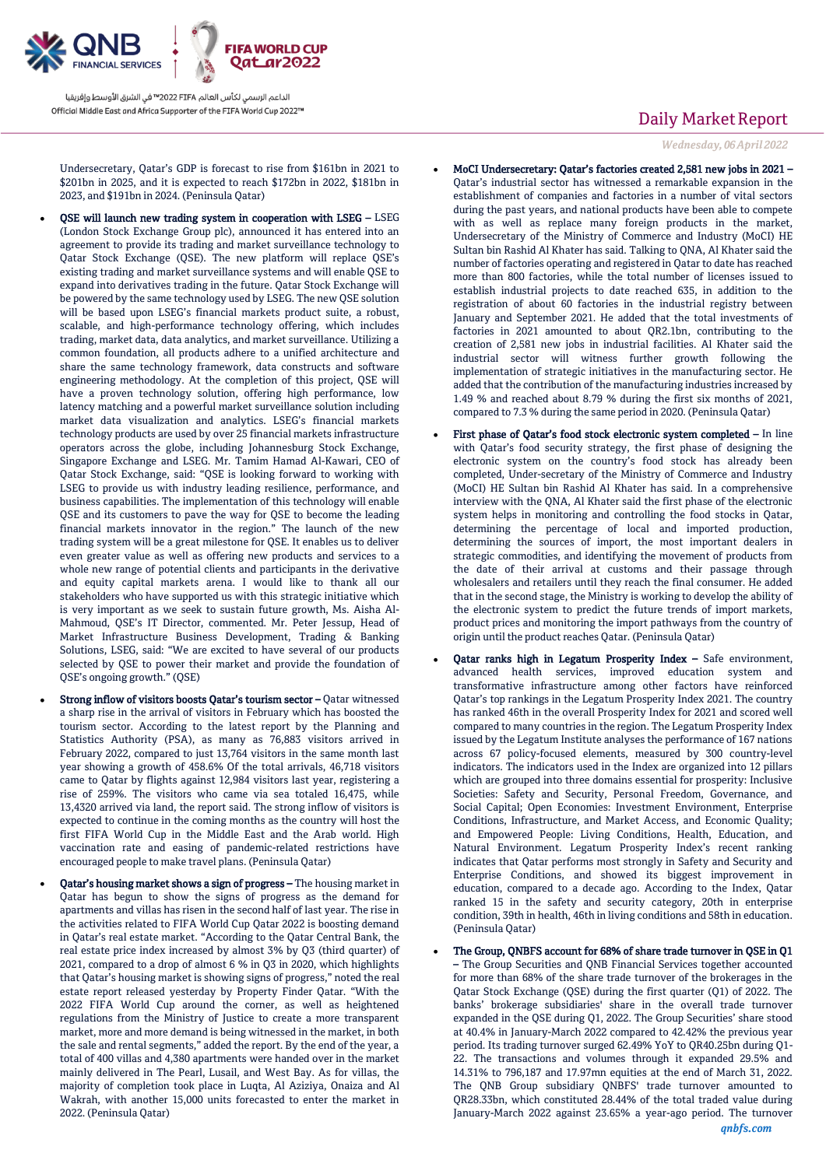

Undersecretary, Qatar's GDP is forecast to rise from \$161bn in 2021 to \$201bn in 2025, and it is expected to reach \$172bn in 2022, \$181bn in 2023, and \$191bn in 2024. (Peninsula Qatar)

- QSE will launch new trading system in cooperation with LSEG LSEG (London Stock Exchange Group plc), announced it has entered into an agreement to provide its trading and market surveillance technology to Qatar Stock Exchange (QSE). The new platform will replace QSE's existing trading and market surveillance systems and will enable QSE to expand into derivatives trading in the future. Qatar Stock Exchange will be powered by the same technology used by LSEG. The new QSE solution will be based upon LSEG's financial markets product suite, a robust, scalable, and high-performance technology offering, which includes trading, market data, data analytics, and market surveillance. Utilizing a common foundation, all products adhere to a unified architecture and share the same technology framework, data constructs and software engineering methodology. At the completion of this project, QSE will have a proven technology solution, offering high performance, low latency matching and a powerful market surveillance solution including market data visualization and analytics. LSEG's financial markets technology products are used by over 25 financial markets infrastructure operators across the globe, including Johannesburg Stock Exchange, Singapore Exchange and LSEG. Mr. Tamim Hamad Al-Kawari, CEO of Qatar Stock Exchange, said: "QSE is looking forward to working with LSEG to provide us with industry leading resilience, performance, and business capabilities. The implementation of this technology will enable QSE and its customers to pave the way for QSE to become the leading financial markets innovator in the region." The launch of the new trading system will be a great milestone for QSE. It enables us to deliver even greater value as well as offering new products and services to a whole new range of potential clients and participants in the derivative and equity capital markets arena. I would like to thank all our stakeholders who have supported us with this strategic initiative which is very important as we seek to sustain future growth, Ms. Aisha Al-Mahmoud, QSE's IT Director, commented. Mr. Peter Jessup, Head of Market Infrastructure Business Development, Trading & Banking Solutions, LSEG, said: "We are excited to have several of our products selected by QSE to power their market and provide the foundation of QSE's ongoing growth." (QSE)
- Strong inflow of visitors boosts Qatar's tourism sector Qatar witnessed a sharp rise in the arrival of visitors in February which has boosted the tourism sector. According to the latest report by the Planning and Statistics Authority (PSA), as many as 76,883 visitors arrived in February 2022, compared to just 13,764 visitors in the same month last year showing a growth of 458.6% Of the total arrivals, 46,718 visitors came to Qatar by flights against 12,984 visitors last year, registering a rise of 259%. The visitors who came via sea totaled 16,475, while 13,4320 arrived via land, the report said. The strong inflow of visitors is expected to continue in the coming months as the country will host the first FIFA World Cup in the Middle East and the Arab world. High vaccination rate and easing of pandemic-related restrictions have encouraged people to make travel plans. (Peninsula Qatar)
- Qatar's housing market shows a sign of progress The housing market in Qatar has begun to show the signs of progress as the demand for apartments and villas has risen in the second half of last year. The rise in the activities related to FIFA World Cup Qatar 2022 is boosting demand in Qatar's real estate market. "According to the Qatar Central Bank, the real estate price index increased by almost 3% by Q3 (third quarter) of 2021, compared to a drop of almost 6 % in Q3 in 2020, which highlights that Qatar's housing market is showing signs of progress," noted the real estate report released yesterday by Property Finder Qatar. "With the 2022 FIFA World Cup around the corner, as well as heightened regulations from the Ministry of Justice to create a more transparent market, more and more demand is being witnessed in the market, in both the sale and rental segments," added the report. By the end of the year, a total of 400 villas and 4,380 apartments were handed over in the market mainly delivered in The Pearl, Lusail, and West Bay. As for villas, the majority of completion took place in Luqta, Al Aziziya, Onaiza and Al Wakrah, with another 15,000 units forecasted to enter the market in 2022. (Peninsula Qatar)

### Daily Market Report

*Wednesday, 06April 2022*

- MoCI Undersecretary: Qatar's factories created 2,581 new jobs in 2021 Qatar's industrial sector has witnessed a remarkable expansion in the establishment of companies and factories in a number of vital sectors during the past years, and national products have been able to compete with as well as replace many foreign products in the market, Undersecretary of the Ministry of Commerce and Industry (MoCI) HE Sultan bin Rashid Al Khater has said. Talking to QNA, Al Khater said the number of factories operating and registered in Qatar to date has reached more than 800 factories, while the total number of licenses issued to establish industrial projects to date reached 635, in addition to the registration of about 60 factories in the industrial registry between January and September 2021. He added that the total investments of factories in 2021 amounted to about QR2.1bn, contributing to the creation of 2,581 new jobs in industrial facilities. Al Khater said the industrial sector will witness further growth following the implementation of strategic initiatives in the manufacturing sector. He added that the contribution of the manufacturing industries increased by 1.49 % and reached about 8.79 % during the first six months of 2021, compared to 7.3 % during the same period in 2020. (Peninsula Qatar)
- First phase of Qatar's food stock electronic system completed In line with Qatar's food security strategy, the first phase of designing the electronic system on the country's food stock has already been completed, Under-secretary of the Ministry of Commerce and Industry (MoCI) HE Sultan bin Rashid Al Khater has said. In a comprehensive interview with the QNA, Al Khater said the first phase of the electronic system helps in monitoring and controlling the food stocks in Qatar, determining the percentage of local and imported production, determining the sources of import, the most important dealers in strategic commodities, and identifying the movement of products from the date of their arrival at customs and their passage through wholesalers and retailers until they reach the final consumer. He added that in the second stage, the Ministry is working to develop the ability of the electronic system to predict the future trends of import markets, product prices and monitoring the import pathways from the country of origin until the product reaches Qatar. (Peninsula Qatar)
- Qatar ranks high in Legatum Prosperity Index Safe environment, advanced health services, improved education system and transformative infrastructure among other factors have reinforced Qatar's top rankings in the Legatum Prosperity Index 2021. The country has ranked 46th in the overall Prosperity Index for 2021 and scored well compared to many countries in the region. The Legatum Prosperity Index issued by the Legatum Institute analyses the performance of 167 nations across 67 policy-focused elements, measured by 300 country-level indicators. The indicators used in the Index are organized into 12 pillars which are grouped into three domains essential for prosperity: Inclusive Societies: Safety and Security, Personal Freedom, Governance, and Social Capital; Open Economies: Investment Environment, Enterprise Conditions, Infrastructure, and Market Access, and Economic Quality; and Empowered People: Living Conditions, Health, Education, and Natural Environment. Legatum Prosperity Index's recent ranking indicates that Qatar performs most strongly in Safety and Security and Enterprise Conditions, and showed its biggest improvement in education, compared to a decade ago. According to the Index, Qatar ranked 15 in the safety and security category, 20th in enterprise condition, 39th in health, 46th in living conditions and 58th in education. (Peninsula Qatar)
- The Group, QNBFS account for 68% of share trade turnover in QSE in Q1 – The Group Securities and QNB Financial Services together accounted for more than 68% of the share trade turnover of the brokerages in the Qatar Stock Exchange (QSE) during the first quarter (Q1) of 2022. The banks' brokerage subsidiaries' share in the overall trade turnover expanded in the QSE during Q1, 2022. The Group Securities' share stood at 40.4% in January-March 2022 compared to 42.42% the previous year period. Its trading turnover surged 62.49% YoY to QR40.25bn during Q1- 22. The transactions and volumes through it expanded 29.5% and 14.31% to 796,187 and 17.97mn equities at the end of March 31, 2022. The QNB Group subsidiary QNBFS' trade turnover amounted to QR28.33bn, which constituted 28.44% of the total traded value during January-March 2022 against 23.65% a year-ago period. The turnover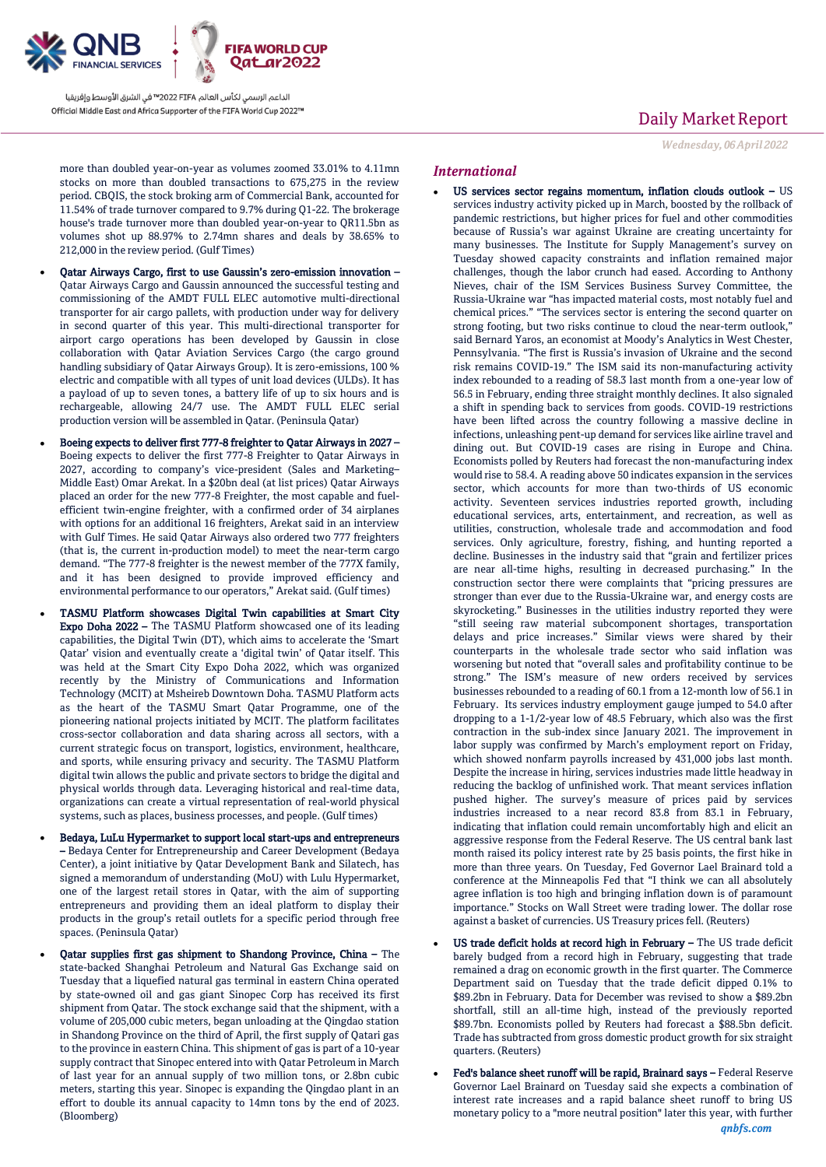

more than doubled year-on-year as volumes zoomed 33.01% to 4.11mn stocks on more than doubled transactions to 675,275 in the review period. CBQIS, the stock broking arm of Commercial Bank, accounted for 11.54% of trade turnover compared to 9.7% during Q1-22. The brokerage house's trade turnover more than doubled year-on-year to QR11.5bn as volumes shot up 88.97% to 2.74mn shares and deals by 38.65% to 212,000 in the review period. (Gulf Times)

- Qatar Airways Cargo, first to use Gaussin's zero-emission innovation Qatar Airways Cargo and Gaussin announced the successful testing and commissioning of the AMDT FULL ELEC automotive multi-directional transporter for air cargo pallets, with production under way for delivery in second quarter of this year. This multi-directional transporter for airport cargo operations has been developed by Gaussin in close collaboration with Qatar Aviation Services Cargo (the cargo ground handling subsidiary of Qatar Airways Group). It is zero-emissions, 100 % electric and compatible with all types of unit load devices (ULDs). It has a payload of up to seven tones, a battery life of up to six hours and is rechargeable, allowing 24/7 use. The AMDT FULL ELEC serial production version will be assembled in Qatar. (Peninsula Qatar)
- Boeing expects to deliver first 777-8 freighter to Qatar Airways in 2027 Boeing expects to deliver the first 777-8 Freighter to Qatar Airways in 2027, according to company's vice-president (Sales and Marketing– Middle East) Omar Arekat. In a \$20bn deal (at list prices) Qatar Airways placed an order for the new 777-8 Freighter, the most capable and fuelefficient twin-engine freighter, with a confirmed order of 34 airplanes with options for an additional 16 freighters, Arekat said in an interview with Gulf Times. He said Qatar Airways also ordered two 777 freighters (that is, the current in-production model) to meet the near-term cargo demand. "The 777-8 freighter is the newest member of the 777X family, and it has been designed to provide improved efficiency and environmental performance to our operators," Arekat said. (Gulf times)
- TASMU Platform showcases Digital Twin capabilities at Smart City Expo Doha 2022 – The TASMU Platform showcased one of its leading capabilities, the Digital Twin (DT), which aims to accelerate the 'Smart Qatar' vision and eventually create a 'digital twin' of Qatar itself. This was held at the Smart City Expo Doha 2022, which was organized recently by the Ministry of Communications and Information Technology (MCIT) at Msheireb Downtown Doha. TASMU Platform acts as the heart of the TASMU Smart Qatar Programme, one of the pioneering national projects initiated by MCIT. The platform facilitates cross-sector collaboration and data sharing across all sectors, with a current strategic focus on transport, logistics, environment, healthcare, and sports, while ensuring privacy and security. The TASMU Platform digital twin allows the public and private sectors to bridge the digital and physical worlds through data. Leveraging historical and real-time data, organizations can create a virtual representation of real-world physical systems, such as places, business processes, and people. (Gulf times)
- Bedaya, LuLu Hypermarket to support local start-ups and entrepreneurs – Bedaya Center for Entrepreneurship and Career Development (Bedaya Center), a joint initiative by Qatar Development Bank and Silatech, has signed a memorandum of understanding (MoU) with Lulu Hypermarket, one of the largest retail stores in Qatar, with the aim of supporting entrepreneurs and providing them an ideal platform to display their products in the group's retail outlets for a specific period through free spaces. (Peninsula Qatar)
- Qatar supplies first gas shipment to Shandong Province, China The state-backed Shanghai Petroleum and Natural Gas Exchange said on Tuesday that a liquefied natural gas terminal in eastern China operated by state-owned oil and gas giant Sinopec Corp has received its first shipment from Qatar. The stock exchange said that the shipment, with a volume of 205,000 cubic meters, began unloading at the Qingdao station in Shandong Province on the third of April, the first supply of Qatari gas to the province in eastern China. This shipment of gas is part of a 10-year supply contract that Sinopec entered into with Qatar Petroleum in March of last year for an annual supply of two million tons, or 2.8bn cubic meters, starting this year. Sinopec is expanding the Qingdao plant in an effort to double its annual capacity to 14mn tons by the end of 2023. (Bloomberg)

### Daily Market Report

*Wednesday, 06April 2022*

#### *International*

- US services sector regains momentum, inflation clouds outlook US services industry activity picked up in March, boosted by the rollback of pandemic restrictions, but higher prices for fuel and other commodities because of Russia's war against Ukraine are creating uncertainty for many businesses. The Institute for Supply Management's survey on Tuesday showed capacity constraints and inflation remained major challenges, though the labor crunch had eased. According to Anthony Nieves, chair of the ISM Services Business Survey Committee, the Russia-Ukraine war "has impacted material costs, most notably fuel and chemical prices." "The services sector is entering the second quarter on strong footing, but two risks continue to cloud the near-term outlook," said Bernard Yaros, an economist at Moody's Analytics in West Chester, Pennsylvania. "The first is Russia's invasion of Ukraine and the second risk remains COVID-19." The ISM said its non-manufacturing activity index rebounded to a reading of 58.3 last month from a one-year low of 56.5 in February, ending three straight monthly declines. It also signaled a shift in spending back to services from goods. COVID-19 restrictions have been lifted across the country following a massive decline in infections, unleashing pent-up demand for services like airline travel and dining out. But COVID-19 cases are rising in Europe and China. Economists polled by Reuters had forecast the non-manufacturing index would rise to 58.4. A reading above 50 indicates expansion in the services sector, which accounts for more than two-thirds of US economic activity. Seventeen services industries reported growth, including educational services, arts, entertainment, and recreation, as well as utilities, construction, wholesale trade and accommodation and food services. Only agriculture, forestry, fishing, and hunting reported a decline. Businesses in the industry said that "grain and fertilizer prices are near all-time highs, resulting in decreased purchasing." In the construction sector there were complaints that "pricing pressures are stronger than ever due to the Russia-Ukraine war, and energy costs are skyrocketing." Businesses in the utilities industry reported they were "still seeing raw material subcomponent shortages, transportation delays and price increases." Similar views were shared by their counterparts in the wholesale trade sector who said inflation was worsening but noted that "overall sales and profitability continue to be strong." The ISM's measure of new orders received by services businesses rebounded to a reading of 60.1 from a 12-month low of 56.1 in February. Its services industry employment gauge jumped to 54.0 after dropping to a 1-1/2-year low of 48.5 February, which also was the first contraction in the sub-index since January 2021. The improvement in labor supply was confirmed by March's employment report on Friday, which showed nonfarm payrolls increased by 431,000 jobs last month. Despite the increase in hiring, services industries made little headway in reducing the backlog of unfinished work. That meant services inflation pushed higher. The survey's measure of prices paid by services industries increased to a near record 83.8 from 83.1 in February, indicating that inflation could remain uncomfortably high and elicit an aggressive response from the Federal Reserve. The US central bank last month raised its policy interest rate by 25 basis points, the first hike in more than three years. On Tuesday, Fed Governor Lael Brainard told a conference at the Minneapolis Fed that "I think we can all absolutely agree inflation is too high and bringing inflation down is of paramount importance." Stocks on Wall Street were trading lower. The dollar rose against a basket of currencies. US Treasury prices fell. (Reuters)
- US trade deficit holds at record high in February The US trade deficit barely budged from a record high in February, suggesting that trade remained a drag on economic growth in the first quarter. The Commerce Department said on Tuesday that the trade deficit dipped 0.1% to \$89.2bn in February. Data for December was revised to show a \$89.2bn shortfall, still an all-time high, instead of the previously reported \$89.7bn. Economists polled by Reuters had forecast a \$88.5bn deficit. Trade has subtracted from gross domestic product growth for six straight quarters. (Reuters)
- Fed's balance sheet runoff will be rapid, Brainard says Federal Reserve Governor Lael Brainard on Tuesday said she expects a combination of interest rate increases and a rapid balance sheet runoff to bring US monetary policy to a "more neutral position" later this year, with further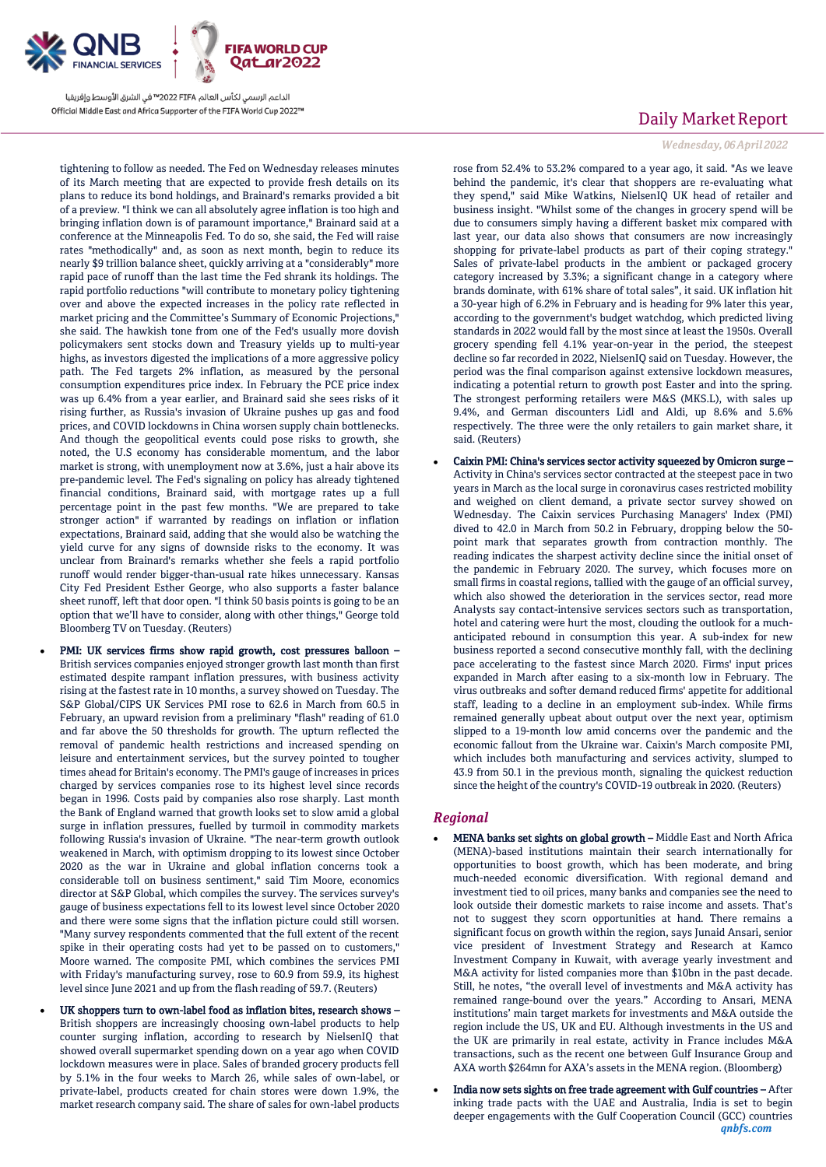

tightening to follow as needed. The Fed on Wednesday releases minutes of its March meeting that are expected to provide fresh details on its plans to reduce its bond holdings, and Brainard's remarks provided a bit of a preview. "I think we can all absolutely agree inflation is too high and bringing inflation down is of paramount importance," Brainard said at a conference at the Minneapolis Fed. To do so, she said, the Fed will raise rates "methodically" and, as soon as next month, begin to reduce its nearly \$9 trillion balance sheet, quickly arriving at a "considerably" more rapid pace of runoff than the last time the Fed shrank its holdings. The rapid portfolio reductions "will contribute to monetary policy tightening over and above the expected increases in the policy rate reflected in market pricing and the Committee's Summary of Economic Projections," she said. The hawkish tone from one of the Fed's usually more dovish policymakers sent stocks down and Treasury yields up to multi-year highs, as investors digested the implications of a more aggressive policy path. The Fed targets 2% inflation, as measured by the personal consumption expenditures price index. In February the PCE price index was up 6.4% from a year earlier, and Brainard said she sees risks of it rising further, as Russia's invasion of Ukraine pushes up gas and food prices, and COVID lockdowns in China worsen supply chain bottlenecks. And though the geopolitical events could pose risks to growth, she noted, the U.S economy has considerable momentum, and the labor market is strong, with unemployment now at 3.6%, just a hair above its pre-pandemic level. The Fed's signaling on policy has already tightened financial conditions, Brainard said, with mortgage rates up a full percentage point in the past few months. "We are prepared to take stronger action" if warranted by readings on inflation or inflation expectations, Brainard said, adding that she would also be watching the yield curve for any signs of downside risks to the economy. It was unclear from Brainard's remarks whether she feels a rapid portfolio runoff would render bigger-than-usual rate hikes unnecessary. Kansas City Fed President Esther George, who also supports a faster balance sheet runoff, left that door open. "I think 50 basis points is going to be an option that we'll have to consider, along with other things," George told Bloomberg TV on Tuesday. (Reuters)

- PMI: UK services firms show rapid growth, cost pressures balloon British services companies enjoyed stronger growth last month than first estimated despite rampant inflation pressures, with business activity rising at the fastest rate in 10 months, a survey showed on Tuesday. The S&P Global/CIPS UK Services PMI rose to 62.6 in March from 60.5 in February, an upward revision from a preliminary "flash" reading of 61.0 and far above the 50 thresholds for growth. The upturn reflected the removal of pandemic health restrictions and increased spending on leisure and entertainment services, but the survey pointed to tougher times ahead for Britain's economy. The PMI's gauge of increases in prices charged by services companies rose to its highest level since records began in 1996. Costs paid by companies also rose sharply. Last month the Bank of England warned that growth looks set to slow amid a global surge in inflation pressures, fuelled by turmoil in commodity markets following Russia's invasion of Ukraine. "The near-term growth outlook weakened in March, with optimism dropping to its lowest since October 2020 as the war in Ukraine and global inflation concerns took a considerable toll on business sentiment," said Tim Moore, economics director at S&P Global, which compiles the survey. The services survey's gauge of business expectations fell to its lowest level since October 2020 and there were some signs that the inflation picture could still worsen. "Many survey respondents commented that the full extent of the recent spike in their operating costs had yet to be passed on to customers," Moore warned. The composite PMI, which combines the services PMI with Friday's manufacturing survey, rose to 60.9 from 59.9, its highest level since June 2021 and up from the flash reading of 59.7. (Reuters)
	- UK shoppers turn to own-label food as inflation bites, research shows British shoppers are increasingly choosing own-label products to help counter surging inflation, according to research by NielsenIQ that showed overall supermarket spending down on a year ago when COVID lockdown measures were in place. Sales of branded grocery products fell by 5.1% in the four weeks to March 26, while sales of own-label, or private-label, products created for chain stores were down 1.9%, the market research company said. The share of sales for own-label products

### Daily Market Report

#### *Wednesday, 06April 2022*

rose from 52.4% to 53.2% compared to a year ago, it said. "As we leave behind the pandemic, it's clear that shoppers are re-evaluating what they spend," said Mike Watkins, NielsenIQ UK head of retailer and business insight. "Whilst some of the changes in grocery spend will be due to consumers simply having a different basket mix compared with last year, our data also shows that consumers are now increasingly shopping for private-label products as part of their coping strategy." Sales of private-label products in the ambient or packaged grocery category increased by 3.3%; a significant change in a category where brands dominate, with 61% share of total sales", it said. UK inflation hit a 30-year high of 6.2% in February and is heading for 9% later this year, according to the government's budget watchdog, which predicted living standards in 2022 would fall by the most since at least the 1950s. Overall grocery spending fell 4.1% year-on-year in the period, the steepest decline so far recorded in 2022, NielsenIQ said on Tuesday. However, the period was the final comparison against extensive lockdown measures, indicating a potential return to growth post Easter and into the spring. The strongest performing retailers were M&S (MKS.L), with sales up 9.4%, and German discounters Lidl and Aldi, up 8.6% and 5.6% respectively. The three were the only retailers to gain market share, it said. (Reuters)

 Caixin PMI: China's services sector activity squeezed by Omicron surge – Activity in China's services sector contracted at the steepest pace in two years in March as the local surge in coronavirus cases restricted mobility and weighed on client demand, a private sector survey showed on Wednesday. The Caixin services Purchasing Managers' Index (PMI) dived to 42.0 in March from 50.2 in February, dropping below the 50 point mark that separates growth from contraction monthly. The reading indicates the sharpest activity decline since the initial onset of the pandemic in February 2020. The survey, which focuses more on small firms in coastal regions, tallied with the gauge of an official survey, which also showed the deterioration in the services sector, read more Analysts say contact-intensive services sectors such as transportation, hotel and catering were hurt the most, clouding the outlook for a muchanticipated rebound in consumption this year. A sub-index for new business reported a second consecutive monthly fall, with the declining pace accelerating to the fastest since March 2020. Firms' input prices expanded in March after easing to a six-month low in February. The virus outbreaks and softer demand reduced firms' appetite for additional staff, leading to a decline in an employment sub-index. While firms remained generally upbeat about output over the next year, optimism slipped to a 19-month low amid concerns over the pandemic and the economic fallout from the Ukraine war. Caixin's March composite PMI, which includes both manufacturing and services activity, slumped to 43.9 from 50.1 in the previous month, signaling the quickest reduction since the height of the country's COVID-19 outbreak in 2020. (Reuters)

#### *Regional*

- MENA banks set sights on global growth Middle East and North Africa (MENA)-based institutions maintain their search internationally for opportunities to boost growth, which has been moderate, and bring much-needed economic diversification. With regional demand and investment tied to oil prices, many banks and companies see the need to look outside their domestic markets to raise income and assets. That's not to suggest they scorn opportunities at hand. There remains a significant focus on growth within the region, says Junaid Ansari, senior vice president of Investment Strategy and Research at Kamco Investment Company in Kuwait, with average yearly investment and M&A activity for listed companies more than \$10bn in the past decade. Still, he notes, "the overall level of investments and M&A activity has remained range-bound over the years." According to Ansari, MENA institutions' main target markets for investments and M&A outside the region include the US, UK and EU. Although investments in the US and the UK are primarily in real estate, activity in France includes M&A transactions, such as the recent one between Gulf Insurance Group and AXA worth \$264mn for AXA's assets in the MENA region. (Bloomberg)
- *qnbfs.com* India now sets sights on free trade agreement with Gulf countries – After inking trade pacts with the UAE and Australia, India is set to begin deeper engagements with the Gulf Cooperation Council (GCC) countries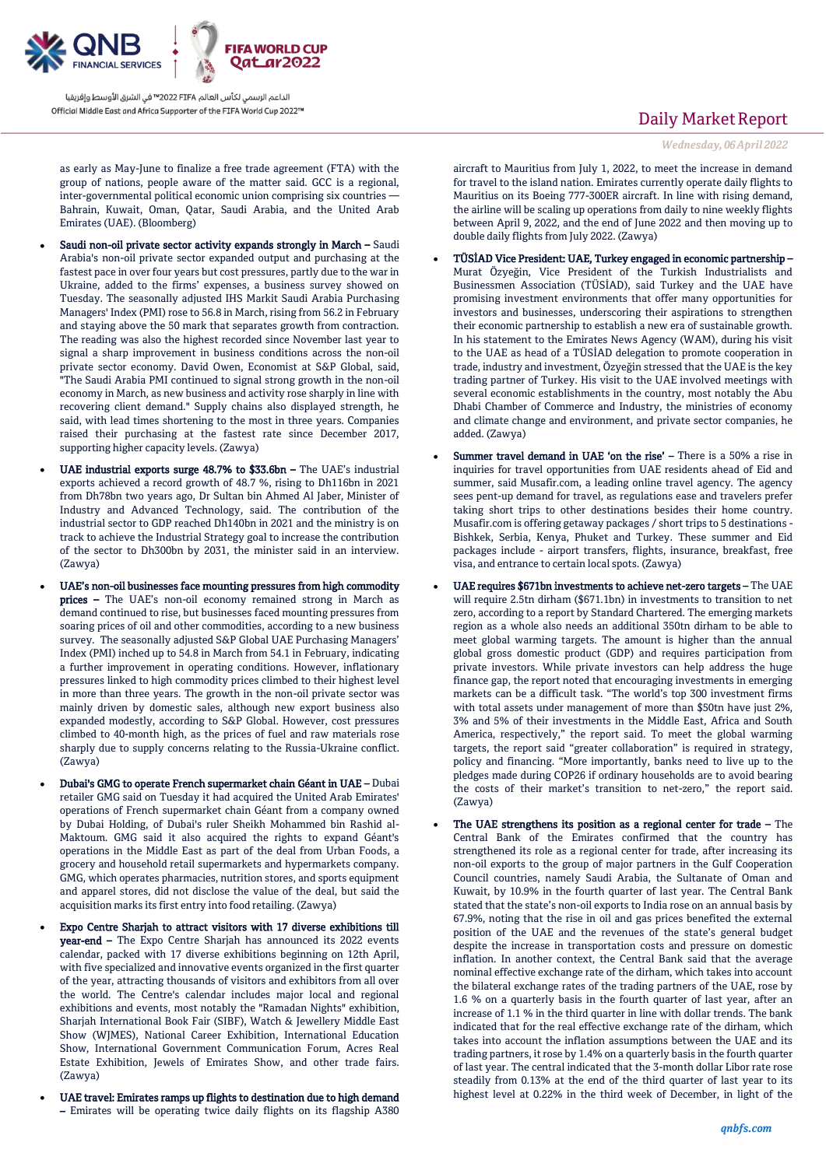

as early as May-June to finalize a free trade agreement (FTA) with the group of nations, people aware of the matter said. GCC is a regional, inter-governmental political economic union comprising six countries — Bahrain, Kuwait, Oman, Qatar, Saudi Arabia, and the United Arab Emirates (UAE). (Bloomberg)

- Saudi non-oil private sector activity expands strongly in March Saudi Arabia's non-oil private sector expanded output and purchasing at the fastest pace in over four years but cost pressures, partly due to the war in Ukraine, added to the firms' expenses, a business survey showed on Tuesday. The seasonally adjusted IHS Markit Saudi Arabia Purchasing Managers' Index (PMI) rose to 56.8 in March, rising from 56.2 in February and staying above the 50 mark that separates growth from contraction. The reading was also the highest recorded since November last year to signal a sharp improvement in business conditions across the non-oil private sector economy. David Owen, Economist at S&P Global, said, "The Saudi Arabia PMI continued to signal strong growth in the non-oil economy in March, as new business and activity rose sharply in line with recovering client demand." Supply chains also displayed strength, he said, with lead times shortening to the most in three years. Companies raised their purchasing at the fastest rate since December 2017, supporting higher capacity levels. (Zawya)
- UAE industrial exports surge 48.7% to \$33.6bn The UAE's industrial exports achieved a record growth of 48.7 %, rising to Dh116bn in 2021 from Dh78bn two years ago, Dr Sultan bin Ahmed Al Jaber, Minister of Industry and Advanced Technology, said. The contribution of the industrial sector to GDP reached Dh140bn in 2021 and the ministry is on track to achieve the Industrial Strategy goal to increase the contribution of the sector to Dh300bn by 2031, the minister said in an interview. (Zawya)
- UAE's non-oil businesses face mounting pressures from high commodity prices – The UAE's non-oil economy remained strong in March as demand continued to rise, but businesses faced mounting pressures from soaring prices of oil and other commodities, according to a new business survey. The seasonally adjusted S&P Global UAE Purchasing Managers' Index (PMI) inched up to 54.8 in March from 54.1 in February, indicating a further improvement in operating conditions. However, inflationary pressures linked to high commodity prices climbed to their highest level in more than three years. The growth in the non-oil private sector was mainly driven by domestic sales, although new export business also expanded modestly, according to S&P Global. However, cost pressures climbed to 40-month high, as the prices of fuel and raw materials rose sharply due to supply concerns relating to the Russia-Ukraine conflict. (Zawya)
- Dubai's GMG to operate French supermarket chain Géant in UAE Dubai retailer GMG said on Tuesday it had acquired the United Arab Emirates' operations of French supermarket chain Géant from a company owned by Dubai Holding, of Dubai's ruler Sheikh Mohammed bin Rashid al-Maktoum. GMG said it also acquired the rights to expand Géant's operations in the Middle East as part of the deal from Urban Foods, a grocery and household retail supermarkets and hypermarkets company. GMG, which operates pharmacies, nutrition stores, and sports equipment and apparel stores, did not disclose the value of the deal, but said the acquisition marks its first entry into food retailing. (Zawya)
- Expo Centre Sharjah to attract visitors with 17 diverse exhibitions till year-end – The Expo Centre Sharjah has announced its 2022 events calendar, packed with 17 diverse exhibitions beginning on 12th April, with five specialized and innovative events organized in the first quarter of the year, attracting thousands of visitors and exhibitors from all over the world. The Centre's calendar includes major local and regional exhibitions and events, most notably the "Ramadan Nights" exhibition, Sharjah International Book Fair (SIBF), Watch & Jewellery Middle East Show (WJMES), National Career Exhibition, International Education Show, International Government Communication Forum, Acres Real Estate Exhibition, Jewels of Emirates Show, and other trade fairs. (Zawya)
- UAE travel: Emirates ramps up flights to destination due to high demand – Emirates will be operating twice daily flights on its flagship A380

### Daily Market Report

*Wednesday, 06April 2022*

aircraft to Mauritius from July 1, 2022, to meet the increase in demand for travel to the island nation. Emirates currently operate daily flights to Mauritius on its Boeing 777-300ER aircraft. In line with rising demand, the airline will be scaling up operations from daily to nine weekly flights between April 9, 2022, and the end of June 2022 and then moving up to double daily flights from July 2022. (Zawya)

- TÜSİAD Vice President: UAE, Turkey engaged in economic partnership Murat Özyeğin, Vice President of the Turkish Industrialists and Businessmen Association (TÜSİAD), said Turkey and the UAE have promising investment environments that offer many opportunities for investors and businesses, underscoring their aspirations to strengthen their economic partnership to establish a new era of sustainable growth. In his statement to the Emirates News Agency (WAM), during his visit to the UAE as head of a TÜSİAD delegation to promote cooperation in trade, industry and investment, Özyeğin stressed that the UAE is the key trading partner of Turkey. His visit to the UAE involved meetings with several economic establishments in the country, most notably the Abu Dhabi Chamber of Commerce and Industry, the ministries of economy and climate change and environment, and private sector companies, he added. (Zawya)
- Summer travel demand in UAE 'on the rise' There is a 50% a rise in inquiries for travel opportunities from UAE residents ahead of Eid and summer, said Musafir.com, a leading online travel agency. The agency sees pent-up demand for travel, as regulations ease and travelers prefer taking short trips to other destinations besides their home country. Musafir.com is offering getaway packages / short trips to 5 destinations - Bishkek, Serbia, Kenya, Phuket and Turkey. These summer and Eid packages include - airport transfers, flights, insurance, breakfast, free visa, and entrance to certain local spots. (Zawya)
- UAE requires \$671bn investments to achieve net-zero targets The UAE will require 2.5tn dirham (\$671.1bn) in investments to transition to net zero, according to a report by Standard Chartered. The emerging markets region as a whole also needs an additional 350tn dirham to be able to meet global warming targets. The amount is higher than the annual global gross domestic product (GDP) and requires participation from private investors. While private investors can help address the huge finance gap, the report noted that encouraging investments in emerging markets can be a difficult task. "The world's top 300 investment firms with total assets under management of more than \$50tn have just 2%, 3% and 5% of their investments in the Middle East, Africa and South America, respectively," the report said. To meet the global warming targets, the report said "greater collaboration" is required in strategy, policy and financing. "More importantly, banks need to live up to the pledges made during COP26 if ordinary households are to avoid bearing the costs of their market's transition to net-zero," the report said. (Zawya)
- The UAE strengthens its position as a regional center for trade The Central Bank of the Emirates confirmed that the country has strengthened its role as a regional center for trade, after increasing its non-oil exports to the group of major partners in the Gulf Cooperation Council countries, namely Saudi Arabia, the Sultanate of Oman and Kuwait, by 10.9% in the fourth quarter of last year. The Central Bank stated that the state's non-oil exports to India rose on an annual basis by 67.9%, noting that the rise in oil and gas prices benefited the external position of the UAE and the revenues of the state's general budget despite the increase in transportation costs and pressure on domestic inflation. In another context, the Central Bank said that the average nominal effective exchange rate of the dirham, which takes into account the bilateral exchange rates of the trading partners of the UAE, rose by 1.6 % on a quarterly basis in the fourth quarter of last year, after an increase of 1.1 % in the third quarter in line with dollar trends. The bank indicated that for the real effective exchange rate of the dirham, which takes into account the inflation assumptions between the UAE and its trading partners, it rose by 1.4% on a quarterly basis in the fourth quarter of last year. The central indicated that the 3-month dollar Libor rate rose steadily from 0.13% at the end of the third quarter of last year to its highest level at 0.22% in the third week of December, in light of the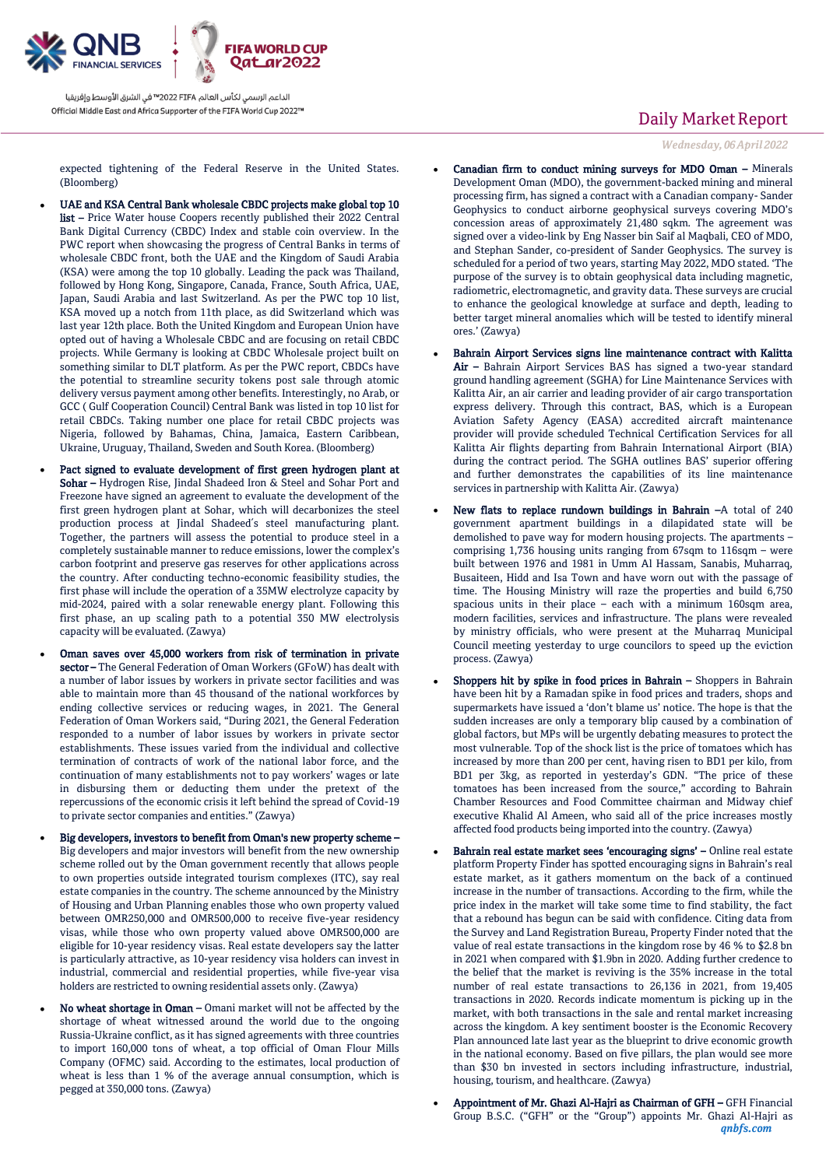

# Daily Market Report

*Wednesday, 06April 2022*

expected tightening of the Federal Reserve in the United States. (Bloomberg)

- UAE and KSA Central Bank wholesale CBDC projects make global top 10 list – Price Water house Coopers recently published their 2022 Central Bank Digital Currency (CBDC) Index and stable coin overview. In the PWC report when showcasing the progress of Central Banks in terms of wholesale CBDC front, both the UAE and the Kingdom of Saudi Arabia (KSA) were among the top 10 globally. Leading the pack was Thailand, followed by Hong Kong, Singapore, Canada, France, South Africa, UAE, Japan, Saudi Arabia and last Switzerland. As per the PWC top 10 list, KSA moved up a notch from 11th place, as did Switzerland which was last year 12th place. Both the United Kingdom and European Union have opted out of having a Wholesale CBDC and are focusing on retail CBDC projects. While Germany is looking at CBDC Wholesale project built on something similar to DLT platform. As per the PWC report, CBDCs have the potential to streamline security tokens post sale through atomic delivery versus payment among other benefits. Interestingly, no Arab, or GCC ( Gulf Cooperation Council) Central Bank was listed in top 10 list for retail CBDCs. Taking number one place for retail CBDC projects was Nigeria, followed by Bahamas, China, Jamaica, Eastern Caribbean, Ukraine, Uruguay, Thailand, Sweden and South Korea. (Bloomberg)
- Pact signed to evaluate development of first green hydrogen plant at Sohar – Hydrogen Rise, Jindal Shadeed Iron & Steel and Sohar Port and Freezone have signed an agreement to evaluate the development of the first green hydrogen plant at Sohar, which will decarbonizes the steel production process at Jindal Shadeed´s steel manufacturing plant. Together, the partners will assess the potential to produce steel in a completely sustainable manner to reduce emissions, lower the complex's carbon footprint and preserve gas reserves for other applications across the country. After conducting techno-economic feasibility studies, the first phase will include the operation of a 35MW electrolyze capacity by mid-2024, paired with a solar renewable energy plant. Following this first phase, an up scaling path to a potential 350 MW electrolysis capacity will be evaluated. (Zawya)
- Oman saves over 45,000 workers from risk of termination in private sector – The General Federation of Oman Workers (GFoW) has dealt with a number of labor issues by workers in private sector facilities and was able to maintain more than 45 thousand of the national workforces by ending collective services or reducing wages, in 2021. The General Federation of Oman Workers said, "During 2021, the General Federation responded to a number of labor issues by workers in private sector establishments. These issues varied from the individual and collective termination of contracts of work of the national labor force, and the continuation of many establishments not to pay workers' wages or late in disbursing them or deducting them under the pretext of the repercussions of the economic crisis it left behind the spread of Covid-19 to private sector companies and entities." (Zawya)
- Big developers, investors to benefit from Oman's new property scheme Big developers and major investors will benefit from the new ownership scheme rolled out by the Oman government recently that allows people to own properties outside integrated tourism complexes (ITC), say real estate companies in the country. The scheme announced by the Ministry of Housing and Urban Planning enables those who own property valued between OMR250,000 and OMR500,000 to receive five-year residency visas, while those who own property valued above OMR500,000 are eligible for 10-year residency visas. Real estate developers say the latter is particularly attractive, as 10-year residency visa holders can invest in industrial, commercial and residential properties, while five-year visa holders are restricted to owning residential assets only. (Zawya)
- No wheat shortage in Oman Omani market will not be affected by the shortage of wheat witnessed around the world due to the ongoing Russia-Ukraine conflict, as it has signed agreements with three countries to import 160,000 tons of wheat, a top official of Oman Flour Mills Company (OFMC) said. According to the estimates, local production of wheat is less than 1 % of the average annual consumption, which is pegged at 350,000 tons. (Zawya)
- Canadian firm to conduct mining surveys for MDO Oman Minerals Development Oman (MDO), the government-backed mining and mineral processing firm, has signed a contract with a Canadian company- Sander Geophysics to conduct airborne geophysical surveys covering MDO's concession areas of approximately 21,480 sqkm. The agreement was signed over a video-link by Eng Nasser bin Saif al Maqbali, CEO of MDO, and Stephan Sander, co-president of Sander Geophysics. The survey is scheduled for a period of two years, starting May 2022, MDO stated. 'The purpose of the survey is to obtain geophysical data including magnetic, radiometric, electromagnetic, and gravity data. These surveys are crucial to enhance the geological knowledge at surface and depth, leading to better target mineral anomalies which will be tested to identify mineral ores.' (Zawya)
- Bahrain Airport Services signs line maintenance contract with Kalitta Air – Bahrain Airport Services BAS has signed a two-year standard ground handling agreement (SGHA) for Line Maintenance Services with Kalitta Air, an air carrier and leading provider of air cargo transportation express delivery. Through this contract, BAS, which is a European Aviation Safety Agency (EASA) accredited aircraft maintenance provider will provide scheduled Technical Certification Services for all Kalitta Air flights departing from Bahrain International Airport (BIA) during the contract period. The SGHA outlines BAS' superior offering and further demonstrates the capabilities of its line maintenance services in partnership with Kalitta Air. (Zawya)
- New flats to replace rundown buildings in Bahrain -A total of 240 government apartment buildings in a dilapidated state will be demolished to pave way for modern housing projects. The apartments – comprising 1,736 housing units ranging from 67sqm to 116sqm – were built between 1976 and 1981 in Umm Al Hassam, Sanabis, Muharraq, Busaiteen, Hidd and Isa Town and have worn out with the passage of time. The Housing Ministry will raze the properties and build 6,750 spacious units in their place – each with a minimum  $160$ sqm area, modern facilities, services and infrastructure. The plans were revealed by ministry officials, who were present at the Muharraq Municipal Council meeting yesterday to urge councilors to speed up the eviction process. (Zawya)
- Shoppers hit by spike in food prices in Bahrain Shoppers in Bahrain have been hit by a Ramadan spike in food prices and traders, shops and supermarkets have issued a 'don't blame us' notice. The hope is that the sudden increases are only a temporary blip caused by a combination of global factors, but MPs will be urgently debating measures to protect the most vulnerable. Top of the shock list is the price of tomatoes which has increased by more than 200 per cent, having risen to BD1 per kilo, from BD1 per 3kg, as reported in yesterday's GDN. "The price of these tomatoes has been increased from the source," according to Bahrain Chamber Resources and Food Committee chairman and Midway chief executive Khalid Al Ameen, who said all of the price increases mostly affected food products being imported into the country. (Zawya)
- Bahrain real estate market sees 'encouraging signs' Online real estate platform Property Finder has spotted encouraging signs in Bahrain's real estate market, as it gathers momentum on the back of a continued increase in the number of transactions. According to the firm, while the price index in the market will take some time to find stability, the fact that a rebound has begun can be said with confidence. Citing data from the Survey and Land Registration Bureau, Property Finder noted that the value of real estate transactions in the kingdom rose by 46 % to \$2.8 bn in 2021 when compared with \$1.9bn in 2020. Adding further credence to the belief that the market is reviving is the 35% increase in the total number of real estate transactions to 26,136 in 2021, from 19,405 transactions in 2020. Records indicate momentum is picking up in the market, with both transactions in the sale and rental market increasing across the kingdom. A key sentiment booster is the Economic Recovery Plan announced late last year as the blueprint to drive economic growth in the national economy. Based on five pillars, the plan would see more than \$30 bn invested in sectors including infrastructure, industrial, housing, tourism, and healthcare. (Zawya)
- *qnbfs.com* Appointment of Mr. Ghazi Al-Hajri as Chairman of GFH – GFH Financial Group B.S.C. ("GFH" or the "Group") appoints Mr. Ghazi Al-Hajri as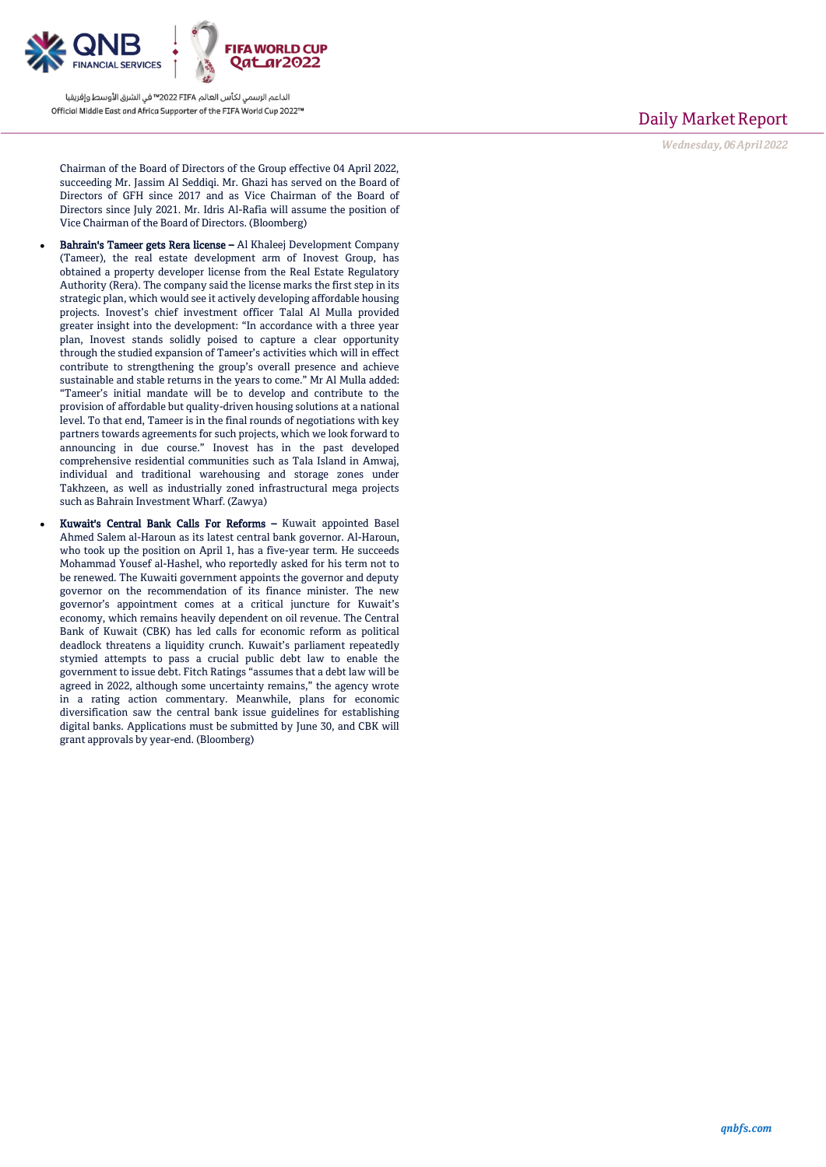

Daily Market Report

*Wednesday, 06April 2022*

Chairman of the Board of Directors of the Group effective 04 April 2022, succeeding Mr. Jassim Al Seddiqi. Mr. Ghazi has served on the Board of Directors of GFH since 2017 and as Vice Chairman of the Board of Directors since July 2021. Mr. Idris Al-Rafia will assume the position of Vice Chairman of the Board of Directors. (Bloomberg)

- Bahrain's Tameer gets Rera license Al Khaleej Development Company (Tameer), the real estate development arm of Inovest Group, has obtained a property developer license from the Real Estate Regulatory Authority (Rera). The company said the license marks the first step in its strategic plan, which would see it actively developing affordable housing projects. Inovest's chief investment officer Talal Al Mulla provided greater insight into the development: "In accordance with a three year plan, Inovest stands solidly poised to capture a clear opportunity through the studied expansion of Tameer's activities which will in effect contribute to strengthening the group's overall presence and achieve sustainable and stable returns in the years to come." Mr Al Mulla added: "Tameer's initial mandate will be to develop and contribute to the provision of affordable but quality-driven housing solutions at a national level. To that end, Tameer is in the final rounds of negotiations with key partners towards agreements for such projects, which we look forward to announcing in due course." Inovest has in the past developed comprehensive residential communities such as Tala Island in Amwaj, individual and traditional warehousing and storage zones under Takhzeen, as well as industrially zoned infrastructural mega projects such as Bahrain Investment Wharf. (Zawya)
- Kuwait's Central Bank Calls For Reforms Kuwait appointed Basel Ahmed Salem al-Haroun as its latest central bank governor. Al-Haroun, who took up the position on April 1, has a five-year term. He succeeds Mohammad Yousef al-Hashel, who reportedly asked for his term not to be renewed. The Kuwaiti government appoints the governor and deputy governor on the recommendation of its finance minister. The new governor's appointment comes at a critical juncture for Kuwait's economy, which remains heavily dependent on oil revenue. The Central Bank of Kuwait (CBK) has led calls for economic reform as political deadlock threatens a liquidity crunch. Kuwait's parliament repeatedly stymied attempts to pass a crucial public debt law to enable the government to issue debt. Fitch Ratings "assumes that a debt law will be agreed in 2022, although some uncertainty remains," the agency wrote in a rating action commentary. Meanwhile, plans for economic diversification saw the central bank issue guidelines for establishing digital banks. Applications must be submitted by June 30, and CBK will grant approvals by year-end. (Bloomberg)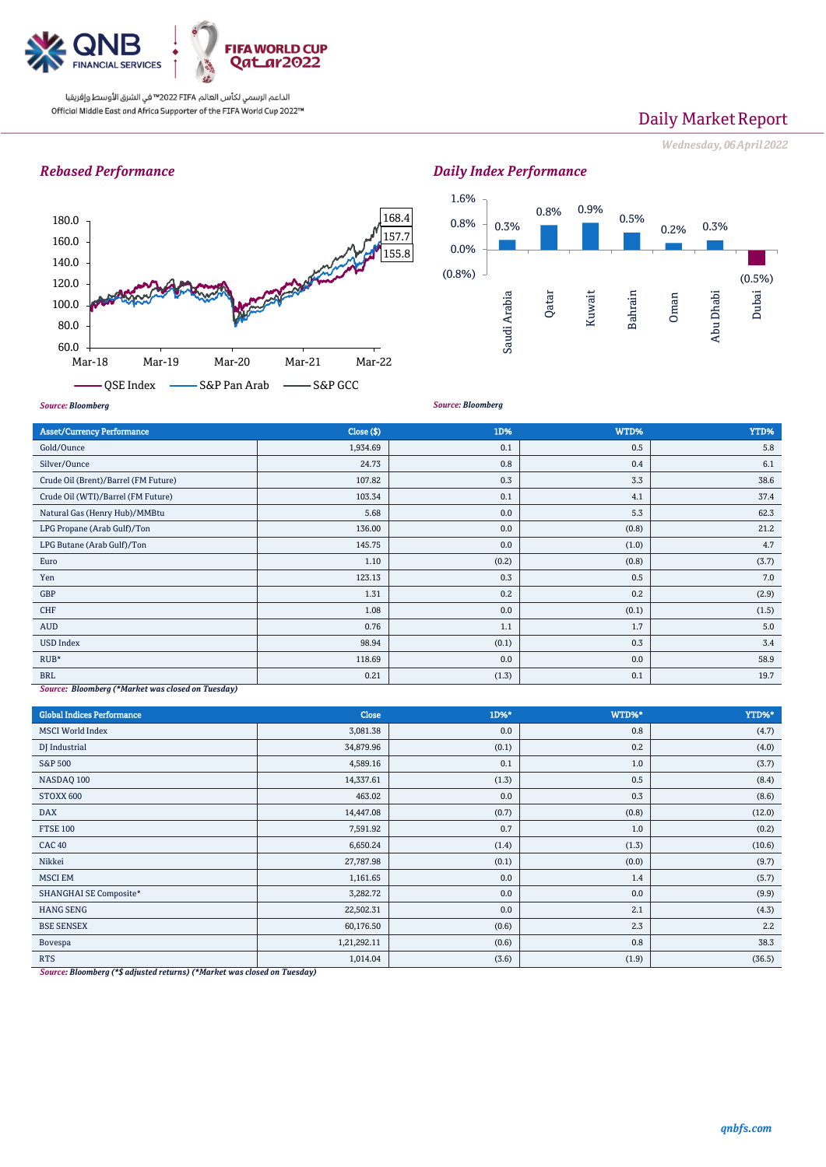

### Daily Market Report

*Wednesday, 06April 2022*

### *Rebased Performance*





#### *Source: Bloomberg*

| <b>Asset/Currency Performance</b>                 | Close ( \$) | 1D%   | WTD%  | YTD%  |  |
|---------------------------------------------------|-------------|-------|-------|-------|--|
| Gold/Ounce                                        | 1,934.69    | 0.1   | 0.5   | 5.8   |  |
| Silver/Ounce                                      | 24.73       | 0.8   | 0.4   | 6.1   |  |
| Crude Oil (Brent)/Barrel (FM Future)              | 107.82      | 0.3   | 3.3   | 38.6  |  |
| Crude Oil (WTI)/Barrel (FM Future)                | 103.34      | 0.1   | 4.1   | 37.4  |  |
| Natural Gas (Henry Hub)/MMBtu                     | 5.68        | 0.0   | 5.3   | 62.3  |  |
| LPG Propane (Arab Gulf)/Ton                       | 136.00      | 0.0   | (0.8) | 21.2  |  |
| LPG Butane (Arab Gulf)/Ton                        | 145.75      | 0.0   | (1.0) | 4.7   |  |
| Euro                                              | 1.10        | (0.2) | (0.8) | (3.7) |  |
| Yen                                               | 123.13      | 0.3   | 0.5   | 7.0   |  |
| GBP                                               | 1.31        | 0.2   | 0.2   | (2.9) |  |
| <b>CHF</b>                                        | 1.08        | 0.0   | (0.1) | (1.5) |  |
| <b>AUD</b>                                        | 0.76        | 1.1   | 1.7   | 5.0   |  |
| <b>USD Index</b>                                  | 98.94       | (0.1) | 0.3   | 3.4   |  |
| $RUB*$                                            | 118.69      | 0.0   | 0.0   | 58.9  |  |
| <b>BRL</b>                                        | 0.21        | (1.3) | 0.1   | 19.7  |  |
| Source: Bloomberg (*Marbet was closed on Tuesday) |             |       |       |       |  |

*Source: Bloomberg*

#### *Source: Bloomberg (\*Market was closed on Tuesday)*

| <b>Global Indices Performance</b> | Close       | 1D%*  | WTD%* | YTD%*  |
|-----------------------------------|-------------|-------|-------|--------|
| <b>MSCI</b> World Index           | 3,081.38    | 0.0   | 0.8   | (4.7)  |
| DJ Industrial                     | 34,879.96   | (0.1) | 0.2   | (4.0)  |
| S&P 500                           | 4,589.16    | 0.1   | 1.0   | (3.7)  |
| NASDAQ 100                        | 14,337.61   | (1.3) | 0.5   | (8.4)  |
| STOXX 600                         | 463.02      | 0.0   | 0.3   | (8.6)  |
| <b>DAX</b>                        | 14,447.08   | (0.7) | (0.8) | (12.0) |
| <b>FTSE 100</b>                   | 7,591.92    | 0.7   | 1.0   | (0.2)  |
| <b>CAC 40</b>                     | 6,650.24    | (1.4) | (1.3) | (10.6) |
| Nikkei                            | 27,787.98   | (0.1) | (0.0) | (9.7)  |
| <b>MSCI EM</b>                    | 1,161.65    | 0.0   | 1.4   | (5.7)  |
| SHANGHAI SE Composite*            | 3,282.72    | 0.0   | 0.0   | (9.9)  |
| <b>HANG SENG</b>                  | 22,502.31   | 0.0   | 2.1   | (4.3)  |
| <b>BSE SENSEX</b>                 | 60,176.50   | (0.6) | 2.3   | 2.2    |
| Bovespa                           | 1,21,292.11 | (0.6) | 0.8   | 38.3   |
| <b>RTS</b>                        | 1,014.04    | (3.6) | (1.9) | (36.5) |

*Source: Bloomberg (\*\$ adjusted returns) (\*Market was closed on Tuesday)*